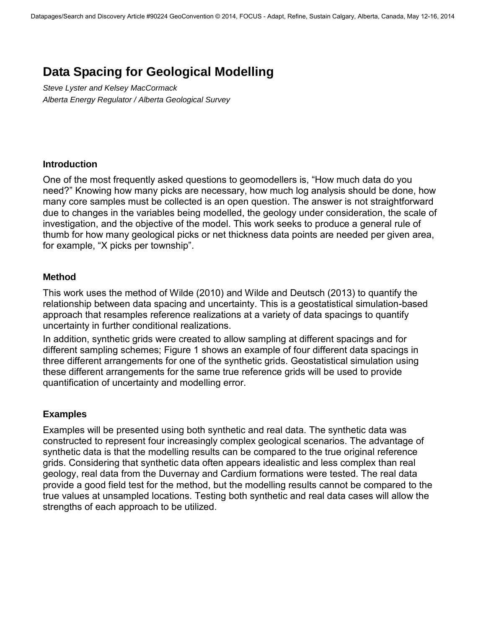# **Data Spacing for Geological Modelling**

*Steve Lyster and Kelsey MacCormack Alberta Energy Regulator / Alberta Geological Survey* 

### **Introduction**

One of the most frequently asked questions to geomodellers is, "How much data do you need?" Knowing how many picks are necessary, how much log analysis should be done, how many core samples must be collected is an open question. The answer is not straightforward due to changes in the variables being modelled, the geology under consideration, the scale of investigation, and the objective of the model. This work seeks to produce a general rule of thumb for how many geological picks or net thickness data points are needed per given area, for example, "X picks per township".

### **Method**

This work uses the method of Wilde (2010) and Wilde and Deutsch (2013) to quantify the relationship between data spacing and uncertainty. This is a geostatistical simulation-based approach that resamples reference realizations at a variety of data spacings to quantify uncertainty in further conditional realizations.

In addition, synthetic grids were created to allow sampling at different spacings and for different sampling schemes; Figure 1 shows an example of four different data spacings in three different arrangements for one of the synthetic grids. Geostatistical simulation using these different arrangements for the same true reference grids will be used to provide quantification of uncertainty and modelling error.

## **Examples**

Examples will be presented using both synthetic and real data. The synthetic data was constructed to represent four increasingly complex geological scenarios. The advantage of synthetic data is that the modelling results can be compared to the true original reference grids. Considering that synthetic data often appears idealistic and less complex than real geology, real data from the Duvernay and Cardium formations were tested. The real data provide a good field test for the method, but the modelling results cannot be compared to the true values at unsampled locations. Testing both synthetic and real data cases will allow the strengths of each approach to be utilized.